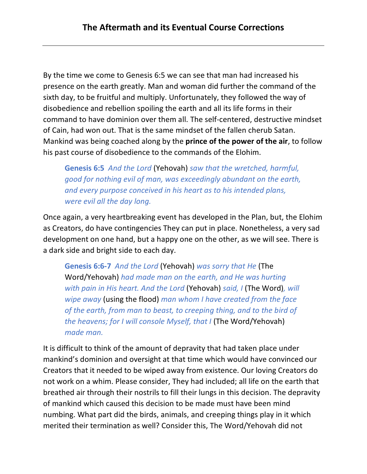By the time we come to Genesis 6:5 we can see that man had increased his presence on the earth greatly. Man and woman did further the command of the sixth day, to be fruitful and multiply. Unfortunately, they followed the way of disobedience and rebellion spoiling the earth and all its life forms in their command to have dominion over them all. The self-centered, destructive mindset of Cain, had won out. That is the same mindset of the fallen cherub Satan. Mankind was being coached along by the **prince of the power of the air**, to follow his past course of disobedience to the commands of the Elohim.

**Genesis 6:5** *And the Lord* (Yehovah) *saw that the wretched, harmful, good for nothing evil of man, was exceedingly abundant on the earth, and every purpose conceived in his heart as to his intended plans, were evil all the day long.*

Once again, a very heartbreaking event has developed in the Plan, but, the Elohim as Creators, do have contingencies They can put in place. Nonetheless, a very sad development on one hand, but a happy one on the other, as we will see. There is a dark side and bright side to each day.

**Genesis 6:6-7** *And the Lord* (Yehovah) *was sorry that He* (The Word/Yehovah) *had made man on the earth, and He was hurting with pain in His heart. And the Lord* (Yehovah) *said, I* (The Word)*, will wipe away* (using the flood) *man whom I have created from the face of the earth, from man to beast, to creeping thing, and to the bird of the heavens; for I will console Myself, that I* (The Word/Yehovah) *made man.*

It is difficult to think of the amount of depravity that had taken place under mankind's dominion and oversight at that time which would have convinced our Creators that it needed to be wiped away from existence. Our loving Creators do not work on a whim. Please consider, They had included; all life on the earth that breathed air through their nostrils to fill their lungs in this decision. The depravity of mankind which caused this decision to be made must have been mind numbing. What part did the birds, animals, and creeping things play in it which merited their termination as well? Consider this, The Word/Yehovah did not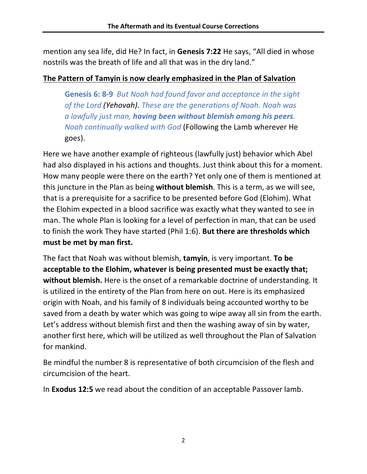mention any sea life, did He? In fact, in **Genesis 7:22** He says, "All died in whose nostrils was the breath of life and all that was in the dry land."

### **The Pattern of Tamyin is now clearly emphasized in the Plan of Salvation**

**Genesis 6: 8-9** *But Noah had found favor and acceptance in the sight of the Lord (Yehovah). These are the generations of Noah. Noah was a lawfully just man, having been without blemish among his peers. Noah continually walked with God* (Following the Lamb wherever He goes).

Here we have another example of righteous (lawfully just) behavior which Abel had also displayed in his actions and thoughts. Just think about this for a moment. How many people were there on the earth? Yet only one of them is mentioned at this juncture in the Plan as being **without blemish**. This is a term, as we will see, that is a prerequisite for a sacrifice to be presented before God (Elohim). What the Elohim expected in a blood sacrifice was exactly what they wanted to see in man. The whole Plan is looking for a level of perfection in man, that can be used to finish the work They have started (Phil 1:6). **But there are thresholds which must be met by man first.**

The fact that Noah was without blemish, **tamyin**, is very important. **To be acceptable to the Elohim, whatever is being presented must be exactly that; without blemish.** Here is the onset of a remarkable doctrine of understanding. It is utilized in the entirety of the Plan from here on out. Here is its emphasized origin with Noah, and his family of 8 individuals being accounted worthy to be saved from a death by water which was going to wipe away all sin from the earth. Let's address without blemish first and then the washing away of sin by water, another first here, which will be utilized as well throughout the Plan of Salvation for mankind.

Be mindful the number 8 is representative of both circumcision of the flesh and circumcision of the heart.

In **Exodus 12:5** we read about the condition of an acceptable Passover lamb.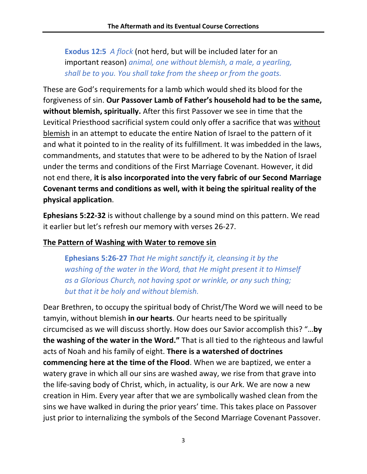**Exodus 12:5** *A flock* (not herd, but will be included later for an important reason) *animal, one without blemish, a male, a yearling, shall be to you. You shall take from the sheep or from the goats.*

These are God's requirements for a lamb which would shed its blood for the forgiveness of sin. **Our Passover Lamb of Father's household had to be the same, without blemish, spiritually.** After this first Passover we see in time that the Levitical Priesthood sacrificial system could only offer a sacrifice that was without blemish in an attempt to educate the entire Nation of Israel to the pattern of it and what it pointed to in the reality of its fulfillment. It was imbedded in the laws, commandments, and statutes that were to be adhered to by the Nation of Israel under the terms and conditions of the First Marriage Covenant. However, it did not end there, **it is also incorporated into the very fabric of our Second Marriage Covenant terms and conditions as well, with it being the spiritual reality of the physical application**.

**Ephesians 5:22-32** is without challenge by a sound mind on this pattern. We read it earlier but let's refresh our memory with verses 26-27.

### **The Pattern of Washing with Water to remove sin**

**Ephesians 5:26-27** *That He might sanctify it, cleansing it by the washing of the water in the Word, that He might present it to Himself as a Glorious Church, not having spot or wrinkle, or any such thing; but that it be holy and without blemish.*

Dear Brethren, to occupy the spiritual body of Christ/The Word we will need to be tamyin, without blemish **in our hearts**. Our hearts need to be spiritually circumcised as we will discuss shortly. How does our Savior accomplish this? "…**by the washing of the water in the Word."** That is all tied to the righteous and lawful acts of Noah and his family of eight. **There is a watershed of doctrines commencing here at the time of the Flood**. When we are baptized, we enter a watery grave in which all our sins are washed away, we rise from that grave into the life-saving body of Christ, which, in actuality, is our Ark. We are now a new creation in Him. Every year after that we are symbolically washed clean from the sins we have walked in during the prior years' time. This takes place on Passover just prior to internalizing the symbols of the Second Marriage Covenant Passover.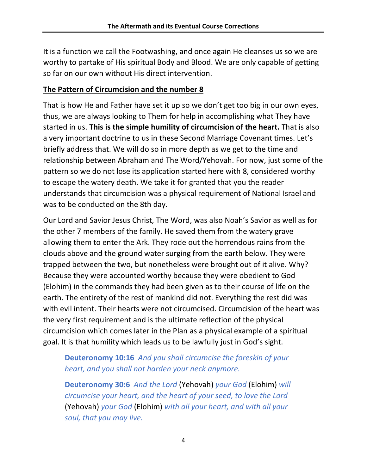It is a function we call the Footwashing, and once again He cleanses us so we are worthy to partake of His spiritual Body and Blood. We are only capable of getting so far on our own without His direct intervention.

### **The Pattern of Circumcision and the number 8**

That is how He and Father have set it up so we don't get too big in our own eyes, thus, we are always looking to Them for help in accomplishing what They have started in us. **This is the simple humility of circumcision of the heart.** That is also a very important doctrine to us in these Second Marriage Covenant times. Let's briefly address that. We will do so in more depth as we get to the time and relationship between Abraham and The Word/Yehovah. For now, just some of the pattern so we do not lose its application started here with 8, considered worthy to escape the watery death. We take it for granted that you the reader understands that circumcision was a physical requirement of National Israel and was to be conducted on the 8th day.

Our Lord and Savior Jesus Christ, The Word, was also Noah's Savior as well as for the other 7 members of the family. He saved them from the watery grave allowing them to enter the Ark. They rode out the horrendous rains from the clouds above and the ground water surging from the earth below. They were trapped between the two, but nonetheless were brought out of it alive. Why? Because they were accounted worthy because they were obedient to God (Elohim) in the commands they had been given as to their course of life on the earth. The entirety of the rest of mankind did not. Everything the rest did was with evil intent. Their hearts were not circumcised. Circumcision of the heart was the very first requirement and is the ultimate reflection of the physical circumcision which comes later in the Plan as a physical example of a spiritual goal. It is that humility which leads us to be lawfully just in God's sight.

# **Deuteronomy 10:16** *And you shall circumcise the foreskin of your heart, and you shall not harden your neck anymore.*

**Deuteronomy 30:6** *And the Lord* (Yehovah) *your God* (Elohim) *will circumcise your heart, and the heart of your seed, to love the Lord*  (Yehovah) *your God* (Elohim) *with all your heart, and with all your soul, that you may live.*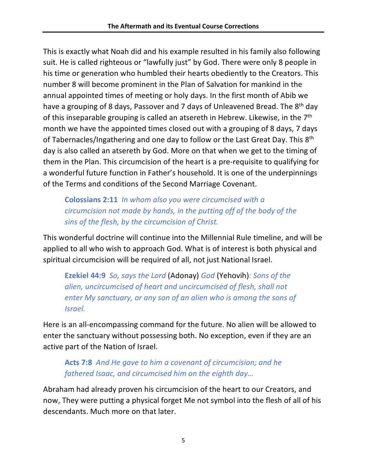This is exactly what Noah did and his example resulted in his family also following suit. He is called righteous or "lawfully just" by God. There were only 8 people in his time or generation who humbled their hearts obediently to the Creators. This number 8 will become prominent in the Plan of Salvation for mankind in the annual appointed times of meeting or holy days. In the first month of Abib we have a grouping of 8 days, Passover and 7 days of Unleavened Bread. The 8<sup>th</sup> day of this inseparable grouping is called an atsereth in Hebrew. Likewise, in the 7<sup>th</sup> month we have the appointed times closed out with a grouping of 8 days, 7 days of Tabernacles/Ingathering and one day to follow or the Last Great Day. This 8<sup>th</sup> day is also called an atsereth by God. More on that when we get to the timing of them in the Plan. This circumcision of the heart is a pre-requisite to qualifying for a wonderful future function in Father's household. It is one of the underpinnings of the Terms and conditions of the Second Marriage Covenant.

**Colossians 2:11** *In whom also you were circumcised with a circumcision not made by hands, in the putting off of the body of the sins of the flesh, by the circumcision of Christ.*

This wonderful doctrine will continue into the Millennial Rule timeline, and will be applied to all who wish to approach God. What is of interest is both physical and spiritual circumcision will be required of all, not just National Israel.

**Ezekiel 44:9** *So, says the Lord* (Adonay) *God* (Yehovih)*: Sons of the alien, uncircumcised of heart and uncircumcised of flesh, shall not enter My sanctuary, or any son of an alien who is among the sons of Israel.*

Here is an all-encompassing command for the future. No alien will be allowed to enter the sanctuary without possessing both. No exception, even if they are an active part of the Nation of Israel.

# **Acts 7:8** *And He gave to him a covenant of circumcision; and he fathered Isaac, and circumcised him on the eighth day…*

Abraham had already proven his circumcision of the heart to our Creators, and now, They were putting a physical forget Me not symbol into the flesh of all of his descendants. Much more on that later.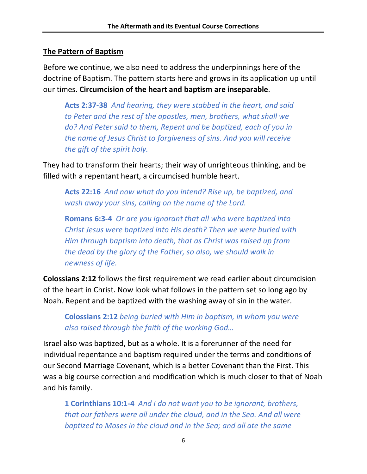### **The Pattern of Baptism**

Before we continue, we also need to address the underpinnings here of the doctrine of Baptism. The pattern starts here and grows in its application up until our times. **Circumcision of the heart and baptism are inseparable**.

**Acts 2:37-38** *And hearing, they were stabbed in the heart, and said to Peter and the rest of the apostles, men, brothers, what shall we do? And Peter said to them, Repent and be baptized, each of you in the name of Jesus Christ to forgiveness of sins. And you will receive the gift of the spirit holy.*

They had to transform their hearts; their way of unrighteous thinking, and be filled with a repentant heart, a circumcised humble heart.

**Acts 22:16** *And now what do you intend? Rise up, be baptized, and wash away your sins, calling on the name of the Lord.*

**Romans 6:3-4** *Or are you ignorant that all who were baptized into Christ Jesus were baptized into His death? Then we were buried with Him through baptism into death, that as Christ was raised up from the dead by the glory of the Father, so also, we should walk in newness of life.*

**Colossians 2:12** follows the first requirement we read earlier about circumcision of the heart in Christ. Now look what follows in the pattern set so long ago by Noah. Repent and be baptized with the washing away of sin in the water.

**Colossians 2:12** *being buried with Him in baptism, in whom you were also raised through the faith of the working God…*

Israel also was baptized, but as a whole. It is a forerunner of the need for individual repentance and baptism required under the terms and conditions of our Second Marriage Covenant, which is a better Covenant than the First. This was a big course correction and modification which is much closer to that of Noah and his family.

**1 Corinthians 10:1-4** *And I do not want you to be ignorant, brothers, that our fathers were all under the cloud, and in the Sea. And all were baptized to Moses in the cloud and in the Sea; and all ate the same*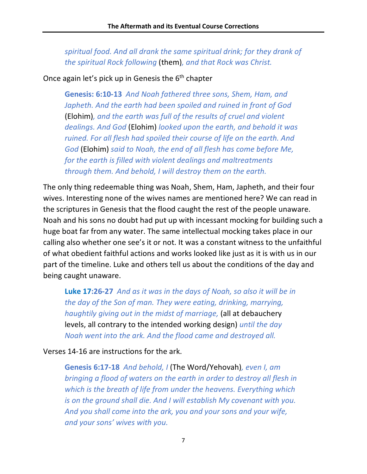*spiritual food. And all drank the same spiritual drink; for they drank of the spiritual Rock following* (them)*, and that Rock was Christ.*

Once again let's pick up in Genesis the  $6<sup>th</sup>$  chapter

**Genesis: 6:10-13** *And Noah fathered three sons, Shem, Ham, and Japheth. And the earth had been spoiled and ruined in front of God*  (Elohim)*, and the earth was full of the results of cruel and violent dealings. And God* (Elohim) *looked upon the earth, and behold it was ruined. For all flesh had spoiled their course of life on the earth. And God* (Elohim) *said to Noah, the end of all flesh has come before Me, for the earth is filled with violent dealings and maltreatments through them. And behold, I will destroy them on the earth.*

The only thing redeemable thing was Noah, Shem, Ham, Japheth, and their four wives. Interesting none of the wives names are mentioned here? We can read in the scriptures in Genesis that the flood caught the rest of the people unaware. Noah and his sons no doubt had put up with incessant mocking for building such a huge boat far from any water. The same intellectual mocking takes place in our calling also whether one see's it or not. It was a constant witness to the unfaithful of what obedient faithful actions and works looked like just as it is with us in our part of the timeline. Luke and others tell us about the conditions of the day and being caught unaware.

**Luke 17:26-27** *And as it was in the days of Noah, so also it will be in the day of the Son of man. They were eating, drinking, marrying, haughtily giving out in the midst of marriage,* (all at debauchery levels, all contrary to the intended working design) *until the day Noah went into the ark. And the flood came and destroyed all.*

Verses 14-16 are instructions for the ark.

**Genesis 6:17-18** *And behold, I* (The Word/Yehovah)*, even I, am bringing a flood of waters on the earth in order to destroy all flesh in which is the breath of life from under the heavens. Everything which is on the ground shall die. And I will establish My covenant with you. And you shall come into the ark, you and your sons and your wife, and your sons' wives with you.*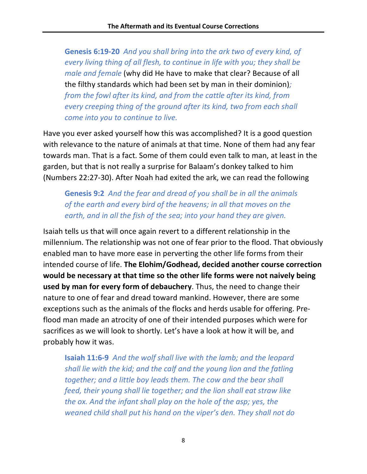**Genesis 6:19-20** *And you shall bring into the ark two of every kind, of every living thing of all flesh, to continue in life with you; they shall be male and female* (why did He have to make that clear? Because of all the filthy standards which had been set by man in their dominion)*; from the fowl after its kind, and from the cattle after its kind, from every creeping thing of the ground after its kind, two from each shall come into you to continue to live.*

Have you ever asked yourself how this was accomplished? It is a good question with relevance to the nature of animals at that time. None of them had any fear towards man. That is a fact. Some of them could even talk to man, at least in the garden, but that is not really a surprise for Balaam's donkey talked to him (Numbers 22:27-30). After Noah had exited the ark, we can read the following

**Genesis 9:2** *And the fear and dread of you shall be in all the animals of the earth and every bird of the heavens; in all that moves on the earth, and in all the fish of the sea; into your hand they are given.*

Isaiah tells us that will once again revert to a different relationship in the millennium. The relationship was not one of fear prior to the flood. That obviously enabled man to have more ease in perverting the other life forms from their intended course of life. **The Elohim/Godhead, decided another course correction would be necessary at that time so the other life forms were not naively being used by man for every form of debauchery**. Thus, the need to change their nature to one of fear and dread toward mankind. However, there are some exceptions such as the animals of the flocks and herds usable for offering. Preflood man made an atrocity of one of their intended purposes which were for sacrifices as we will look to shortly. Let's have a look at how it will be, and probably how it was.

**Isaiah 11:6-9** *And the wolf shall live with the lamb; and the leopard shall lie with the kid; and the calf and the young lion and the fatling together; and a little boy leads them. The cow and the bear shall feed, their young shall lie together; and the lion shall eat straw like the ox. And the infant shall play on the hole of the asp; yes, the weaned child shall put his hand on the viper's den. They shall not do*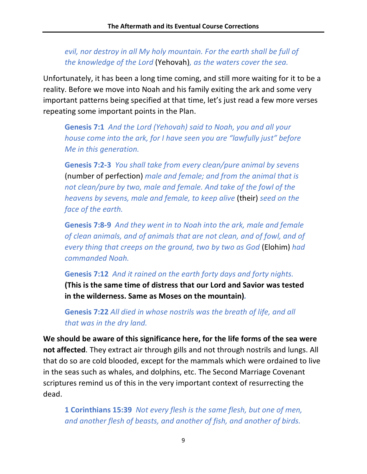### *evil, nor destroy in all My holy mountain. For the earth shall be full of the knowledge of the Lord* (Yehovah)*, as the waters cover the sea.*

Unfortunately, it has been a long time coming, and still more waiting for it to be a reality. Before we move into Noah and his family exiting the ark and some very important patterns being specified at that time, let's just read a few more verses repeating some important points in the Plan.

**Genesis 7:1** *And the Lord (Yehovah) said to Noah, you and all your house come into the ark, for I have seen you are "lawfully just" before Me in this generation.*

**Genesis 7:2-3** *You shall take from every clean/pure animal by sevens*  (number of perfection) *male and female; and from the animal that is not clean/pure by two, male and female. And take of the fowl of the heavens by sevens, male and female, to keep alive* (their) *seed on the face of the earth.*

**Genesis 7:8-9** *And they went in to Noah into the ark, male and female of clean animals, and of animals that are not clean, and of fowl, and of every thing that creeps on the ground, two by two as God* (Elohim) *had commanded Noah.*

**Genesis 7:12** *And it rained on the earth forty days and forty nights.* **(This is the same time of distress that our Lord and Savior was tested in the wilderness. Same as Moses on the mountain)***.*

**Genesis 7:22** *All died in whose nostrils was the breath of life, and all that was in the dry land.*

**We should be aware of this significance here, for the life forms of the sea were not affected**. They extract air through gills and not through nostrils and lungs. All that do so are cold blooded, except for the mammals which were ordained to live in the seas such as whales, and dolphins, etc. The Second Marriage Covenant scriptures remind us of this in the very important context of resurrecting the dead.

**1 Corinthians 15:39** *Not every flesh is the same flesh, but one of men, and another flesh of beasts, and another of fish, and another of birds.*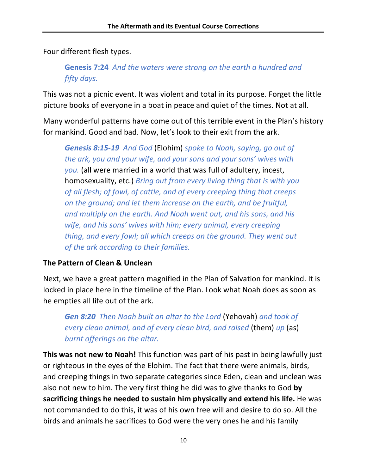Four different flesh types.

**Genesis 7:24** *And the waters were strong on the earth a hundred and fifty days.*

This was not a picnic event. It was violent and total in its purpose. Forget the little picture books of everyone in a boat in peace and quiet of the times. Not at all.

Many wonderful patterns have come out of this terrible event in the Plan's history for mankind. Good and bad. Now, let's look to their exit from the ark.

*Genesis 8:15-19 And God* (Elohim) *spoke to Noah, saying, go out of the ark, you and your wife, and your sons and your sons' wives with you.* (all were married in a world that was full of adultery, incest, homosexuality, etc.) *Bring out from every living thing that is with you of all flesh; of fowl, of cattle, and of every creeping thing that creeps on the ground; and let them increase on the earth, and be fruitful, and multiply on the earth. And Noah went out, and his sons, and his wife, and his sons' wives with him; every animal, every creeping thing, and every fowl; all which creeps on the ground. They went out of the ark according to their families.*

#### **The Pattern of Clean & Unclean**

Next, we have a great pattern magnified in the Plan of Salvation for mankind. It is locked in place here in the timeline of the Plan. Look what Noah does as soon as he empties all life out of the ark.

*Gen 8:20 Then Noah built an altar to the Lord* (Yehovah) *and took of every clean animal, and of every clean bird, and raised* (them) *up* (as) *burnt offerings on the altar.*

**This was not new to Noah!** This function was part of his past in being lawfully just or righteous in the eyes of the Elohim. The fact that there were animals, birds, and creeping things in two separate categories since Eden, clean and unclean was also not new to him. The very first thing he did was to give thanks to God **by sacrificing things he needed to sustain him physically and extend his life.** He was not commanded to do this, it was of his own free will and desire to do so. All the birds and animals he sacrifices to God were the very ones he and his family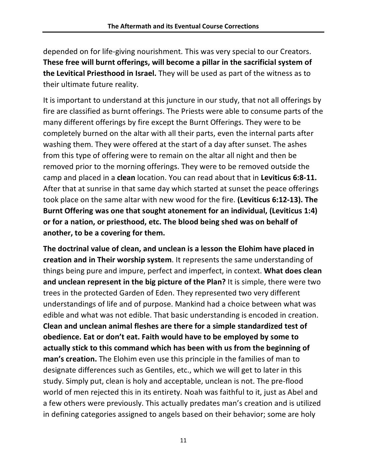depended on for life-giving nourishment. This was very special to our Creators. **These free will burnt offerings, will become a pillar in the sacrificial system of the Levitical Priesthood in Israel.** They will be used as part of the witness as to their ultimate future reality.

It is important to understand at this juncture in our study, that not all offerings by fire are classified as burnt offerings. The Priests were able to consume parts of the many different offerings by fire except the Burnt Offerings. They were to be completely burned on the altar with all their parts, even the internal parts after washing them. They were offered at the start of a day after sunset. The ashes from this type of offering were to remain on the altar all night and then be removed prior to the morning offerings. They were to be removed outside the camp and placed in a **clean** location. You can read about that in **Leviticus 6:8-11.** After that at sunrise in that same day which started at sunset the peace offerings took place on the same altar with new wood for the fire. **(Leviticus 6:12-13). The Burnt Offering was one that sought atonement for an individual, (Leviticus 1:4) or for a nation, or priesthood, etc. The blood being shed was on behalf of another, to be a covering for them.**

**The doctrinal value of clean, and unclean is a lesson the Elohim have placed in creation and in Their worship system**. It represents the same understanding of things being pure and impure, perfect and imperfect, in context. **What does clean and unclean represent in the big picture of the Plan?** It is simple, there were two trees in the protected Garden of Eden. They represented two very different understandings of life and of purpose. Mankind had a choice between what was edible and what was not edible. That basic understanding is encoded in creation. **Clean and unclean animal fleshes are there for a simple standardized test of obedience. Eat or don't eat. Faith would have to be employed by some to actually stick to this command which has been with us from the beginning of man's creation.** The Elohim even use this principle in the families of man to designate differences such as Gentiles, etc., which we will get to later in this study. Simply put, clean is holy and acceptable, unclean is not. The pre-flood world of men rejected this in its entirety. Noah was faithful to it, just as Abel and a few others were previously. This actually predates man's creation and is utilized in defining categories assigned to angels based on their behavior; some are holy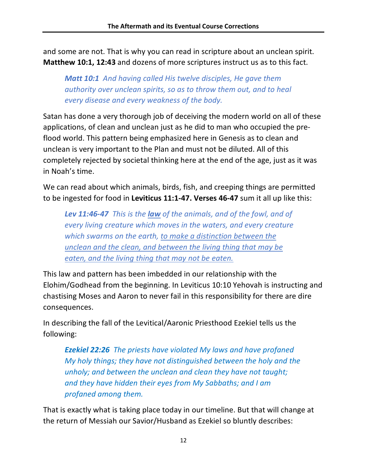and some are not. That is why you can read in scripture about an unclean spirit. **Matthew 10:1, 12:43** and dozens of more scriptures instruct us as to this fact.

*Matt 10:1 And having called His twelve disciples, He gave them authority over unclean spirits, so as to throw them out, and to heal every disease and every weakness of the body.*

Satan has done a very thorough job of deceiving the modern world on all of these applications, of clean and unclean just as he did to man who occupied the preflood world. This pattern being emphasized here in Genesis as to clean and unclean is very important to the Plan and must not be diluted. All of this completely rejected by societal thinking here at the end of the age, just as it was in Noah's time.

We can read about which animals, birds, fish, and creeping things are permitted to be ingested for food in **Leviticus 11:1-47. Verses 46-47** sum it all up like this:

*Lev 11:46-47 This is the law of the animals, and of the fowl, and of every living creature which moves in the waters, and every creature which swarms on the earth, to make a distinction between the unclean and the clean, and between the living thing that may be eaten, and the living thing that may not be eaten.* 

This law and pattern has been imbedded in our relationship with the Elohim/Godhead from the beginning. In Leviticus 10:10 Yehovah is instructing and chastising Moses and Aaron to never fail in this responsibility for there are dire consequences.

In describing the fall of the Levitical/Aaronic Priesthood Ezekiel tells us the following:

*Ezekiel 22:26 The priests have violated My laws and have profaned My holy things; they have not distinguished between the holy and the unholy; and between the unclean and clean they have not taught; and they have hidden their eyes from My Sabbaths; and I am profaned among them.*

That is exactly what is taking place today in our timeline. But that will change at the return of Messiah our Savior/Husband as Ezekiel so bluntly describes: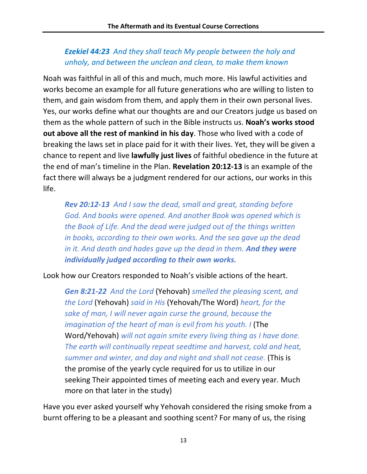## *Ezekiel 44:23 And they shall teach My people between the holy and unholy, and between the unclean and clean, to make them known*

Noah was faithful in all of this and much, much more. His lawful activities and works become an example for all future generations who are willing to listen to them, and gain wisdom from them, and apply them in their own personal lives. Yes, our works define what our thoughts are and our Creators judge us based on them as the whole pattern of such in the Bible instructs us. **Noah's works stood out above all the rest of mankind in his day**. Those who lived with a code of breaking the laws set in place paid for it with their lives. Yet, they will be given a chance to repent and live **lawfully just lives** of faithful obedience in the future at the end of man's timeline in the Plan. **Revelation 20:12-13** is an example of the fact there will always be a judgment rendered for our actions, our works in this life.

*Rev 20:12-13 And I saw the dead, small and great, standing before God. And books were opened. And another Book was opened which is the Book of Life. And the dead were judged out of the things written in books, according to their own works. And the sea gave up the dead in it. And death and hades gave up the dead in them. And they were individually judged according to their own works.*

Look how our Creators responded to Noah's visible actions of the heart.

*Gen 8:21-22 And the Lord* (Yehovah) *smelled the pleasing scent, and the Lord* (Yehovah) *said in His* (Yehovah/The Word) *heart, for the sake of man, I will never again curse the ground, because the imagination of the heart of man is evil from his youth. I (The* Word/Yehovah) *will not again smite every living thing as I have done. The earth will continually repeat seedtime and harvest, cold and heat, summer and winter, and day and night and shall not cease.* (This is the promise of the yearly cycle required for us to utilize in our seeking Their appointed times of meeting each and every year. Much more on that later in the study)

Have you ever asked yourself why Yehovah considered the rising smoke from a burnt offering to be a pleasant and soothing scent? For many of us, the rising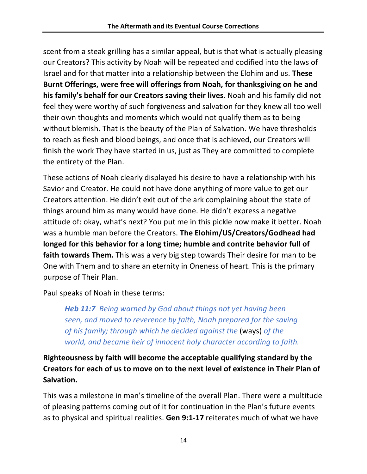scent from a steak grilling has a similar appeal, but is that what is actually pleasing our Creators? This activity by Noah will be repeated and codified into the laws of Israel and for that matter into a relationship between the Elohim and us. **These Burnt Offerings, were free will offerings from Noah, for thanksgiving on he and his family's behalf for our Creators saving their lives.** Noah and his family did not feel they were worthy of such forgiveness and salvation for they knew all too well their own thoughts and moments which would not qualify them as to being without blemish. That is the beauty of the Plan of Salvation. We have thresholds to reach as flesh and blood beings, and once that is achieved, our Creators will finish the work They have started in us, just as They are committed to complete the entirety of the Plan.

These actions of Noah clearly displayed his desire to have a relationship with his Savior and Creator. He could not have done anything of more value to get our Creators attention. He didn't exit out of the ark complaining about the state of things around him as many would have done. He didn't express a negative attitude of: okay, what's next? You put me in this pickle now make it better. Noah was a humble man before the Creators. **The Elohim/US/Creators/Godhead had longed for this behavior for a long time; humble and contrite behavior full of faith towards Them.** This was a very big step towards Their desire for man to be One with Them and to share an eternity in Oneness of heart. This is the primary purpose of Their Plan.

Paul speaks of Noah in these terms:

*Heb 11:7 Being warned by God about things not yet having been seen, and moved to reverence by faith, Noah prepared for the saving of his family; through which he decided against the* (ways) *of the world, and became heir of innocent holy character according to faith.*

**Righteousness by faith will become the acceptable qualifying standard by the Creators for each of us to move on to the next level of existence in Their Plan of Salvation.**

This was a milestone in man's timeline of the overall Plan. There were a multitude of pleasing patterns coming out of it for continuation in the Plan's future events as to physical and spiritual realities. **Gen 9:1-17** reiterates much of what we have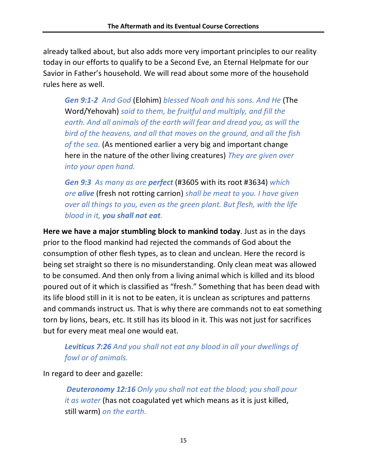already talked about, but also adds more very important principles to our reality today in our efforts to qualify to be a Second Eve, an Eternal Helpmate for our Savior in Father's household. We will read about some more of the household rules here as well.

*Gen 9:1-2 And God* (Elohim) *blessed Noah and his sons. And He* (The Word/Yehovah) *said to them, be fruitful and multiply, and fill the earth. And all animals of the earth will fear and dread you, as will the bird of the heavens, and all that moves on the ground, and all the fish of the sea.* (As mentioned earlier a very big and important change here in the nature of the other living creatures) *They are given over into your open hand.*

*Gen 9:3 As many as are perfect* (#3605 with its root #3634) *which are alive* (fresh not rotting carrion) *shall be meat to you. I have given over all things to you, even as the green plant. But flesh, with the life blood in it, you shall not eat.*

**Here we have a major stumbling block to mankind today**. Just as in the days prior to the flood mankind had rejected the commands of God about the consumption of other flesh types, as to clean and unclean. Here the record is being set straight so there is no misunderstanding. Only clean meat was allowed to be consumed. And then only from a living animal which is killed and its blood poured out of it which is classified as "fresh." Something that has been dead with its life blood still in it is not to be eaten, it is unclean as scriptures and patterns and commands instruct us. That is why there are commands not to eat something torn by lions, bears, etc. It still has its blood in it. This was not just for sacrifices but for every meat meal one would eat.

## *Leviticus 7:26 And you shall not eat any blood in all your dwellings of fowl or of animals.*

In regard to deer and gazelle:

*Deuteronomy 12:16 Only you shall not eat the blood; you shall pour it as water* (has not coagulated yet which means as it is just killed, still warm) *on the earth.*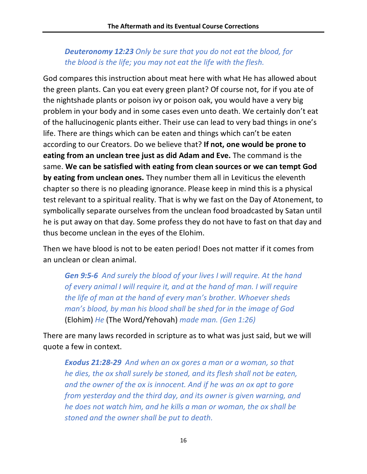## *Deuteronomy 12:23 Only be sure that you do not eat the blood, for the blood is the life; you may not eat the life with the flesh.*

God compares this instruction about meat here with what He has allowed about the green plants. Can you eat every green plant? Of course not, for if you ate of the nightshade plants or poison ivy or poison oak, you would have a very big problem in your body and in some cases even unto death. We certainly don't eat of the hallucinogenic plants either. Their use can lead to very bad things in one's life. There are things which can be eaten and things which can't be eaten according to our Creators. Do we believe that? **If not, one would be prone to eating from an unclean tree just as did Adam and Eve.** The command is the same. **We can be satisfied with eating from clean sources or we can tempt God by eating from unclean ones.** They number them all in Leviticus the eleventh chapter so there is no pleading ignorance. Please keep in mind this is a physical test relevant to a spiritual reality. That is why we fast on the Day of Atonement, to symbolically separate ourselves from the unclean food broadcasted by Satan until he is put away on that day. Some profess they do not have to fast on that day and thus become unclean in the eyes of the Elohim.

Then we have blood is not to be eaten period! Does not matter if it comes from an unclean or clean animal.

*Gen 9:5-6 And surely the blood of your lives I will require. At the hand of every animal I will require it, and at the hand of man. I will require the life of man at the hand of every man's brother. Whoever sheds man's blood, by man his blood shall be shed for in the image of God*  (Elohim) *He* (The Word/Yehovah) *made man. (Gen 1:26)*

There are many laws recorded in scripture as to what was just said, but we will quote a few in context.

*Exodus 21:28-29 And when an ox gores a man or a woman, so that he dies, the ox shall surely be stoned, and its flesh shall not be eaten, and the owner of the ox is innocent. And if he was an ox apt to gore from yesterday and the third day, and its owner is given warning, and he does not watch him, and he kills a man or woman, the ox shall be stoned and the owner shall be put to death.*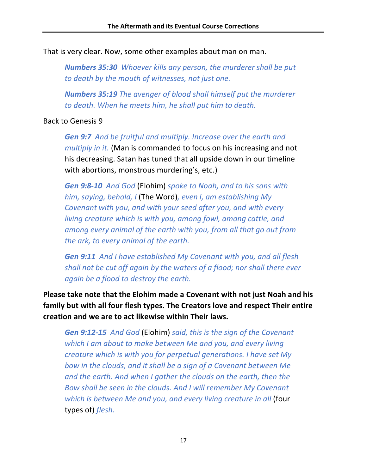That is very clear. Now, some other examples about man on man.

*Numbers 35:30 Whoever kills any person, the murderer shall be put to death by the mouth of witnesses, not just one.*

*Numbers 35:19 The avenger of blood shall himself put the murderer to death. When he meets him, he shall put him to death.*

#### Back to Genesis 9

*Gen 9:7 And be fruitful and multiply. Increase over the earth and multiply in it.* (Man is commanded to focus on his increasing and not his decreasing. Satan has tuned that all upside down in our timeline with abortions, monstrous murdering's, etc.)

*Gen 9:8-10 And God* (Elohim) *spoke to Noah, and to his sons with him, saying, behold, I* (The Word)*, even I, am establishing My Covenant with you, and with your seed after you, and with every living creature which is with you, among fowl, among cattle, and among every animal of the earth with you, from all that go out from the ark, to every animal of the earth.*

*Gen 9:11 And I have established My Covenant with you, and all flesh shall not be cut off again by the waters of a flood; nor shall there ever again be a flood to destroy the earth.*

**Please take note that the Elohim made a Covenant with not just Noah and his family but with all four flesh types. The Creators love and respect Their entire creation and we are to act likewise within Their laws.** 

*Gen 9:12-15 And God* (Elohim) *said, this is the sign of the Covenant which I am about to make between Me and you, and every living creature which is with you for perpetual generations. I have set My bow in the clouds, and it shall be a sign of a Covenant between Me and the earth. And when I gather the clouds on the earth, then the Bow shall be seen in the clouds. And I will remember My Covenant*  which is between Me and you, and every living creature in all (four types of) *flesh.*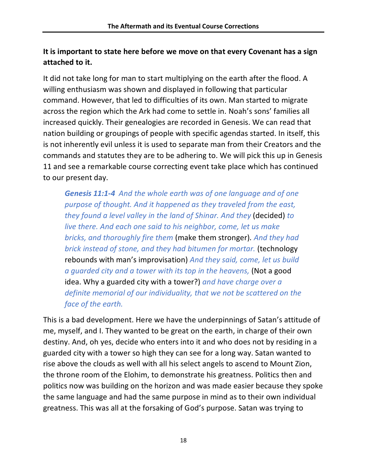## **It is important to state here before we move on that every Covenant has a sign attached to it.**

It did not take long for man to start multiplying on the earth after the flood. A willing enthusiasm was shown and displayed in following that particular command. However, that led to difficulties of its own. Man started to migrate across the region which the Ark had come to settle in. Noah's sons' families all increased quickly. Their genealogies are recorded in Genesis. We can read that nation building or groupings of people with specific agendas started. In itself, this is not inherently evil unless it is used to separate man from their Creators and the commands and statutes they are to be adhering to. We will pick this up in Genesis 11 and see a remarkable course correcting event take place which has continued to our present day.

*Genesis 11:1-4 And the whole earth was of one language and of one purpose of thought. And it happened as they traveled from the east, they found a level valley in the land of Shinar. And they* (decided) *to live there. And each one said to his neighbor, come, let us make bricks, and thoroughly fire them* (make them stronger)*. And they had brick instead of stone, and they had bitumen for mortar.* (technology rebounds with man's improvisation) *And they said, come, let us build a guarded city and a tower with its top in the heavens,* (Not a good idea. Why a guarded city with a tower?) *and have charge over a definite memorial of our individuality, that we not be scattered on the face of the earth.* 

This is a bad development. Here we have the underpinnings of Satan's attitude of me, myself, and I. They wanted to be great on the earth, in charge of their own destiny. And, oh yes, decide who enters into it and who does not by residing in a guarded city with a tower so high they can see for a long way. Satan wanted to rise above the clouds as well with all his select angels to ascend to Mount Zion, the throne room of the Elohim, to demonstrate his greatness. Politics then and politics now was building on the horizon and was made easier because they spoke the same language and had the same purpose in mind as to their own individual greatness. This was all at the forsaking of God's purpose. Satan was trying to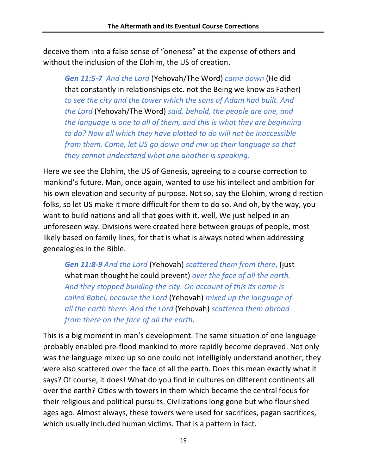deceive them into a false sense of "oneness" at the expense of others and without the inclusion of the Elohim, the US of creation.

*Gen 11:5-7 And the Lord* (Yehovah/The Word) *came down* (He did that constantly in relationships etc. not the Being we know as Father) *to see the city and the tower which the sons of Adam had built. And the Lord* (Yehovah/The Word) *said, behold, the people are one, and the language is one to all of them, and this is what they are beginning to do? Now all which they have plotted to do will not be inaccessible from them. Come, let US go down and mix up their language so that they cannot understand what one another is speaking.*

Here we see the Elohim, the US of Genesis, agreeing to a course correction to mankind's future. Man, once again, wanted to use his intellect and ambition for his own elevation and security of purpose. Not so, say the Elohim, wrong direction folks, so let US make it more difficult for them to do so. And oh, by the way, you want to build nations and all that goes with it, well, We just helped in an unforeseen way. Divisions were created here between groups of people, most likely based on family lines, for that is what is always noted when addressing genealogies in the Bible.

*Gen 11:8-9 And the Lord* (Yehovah) *scattered them from there*, (just what man thought he could prevent) *over the face of all the earth. And they stopped building the city. On account of this its name is called Babel, because the Lord* (Yehovah) *mixed up the language of all the earth there. And the Lord* (Yehovah) *scattered them abroad from there on the face of all the earth.*

This is a big moment in man's development. The same situation of one language probably enabled pre-flood mankind to more rapidly become depraved. Not only was the language mixed up so one could not intelligibly understand another, they were also scattered over the face of all the earth. Does this mean exactly what it says? Of course, it does! What do you find in cultures on different continents all over the earth? Cities with towers in them which became the central focus for their religious and political pursuits. Civilizations long gone but who flourished ages ago. Almost always, these towers were used for sacrifices, pagan sacrifices, which usually included human victims. That is a pattern in fact.